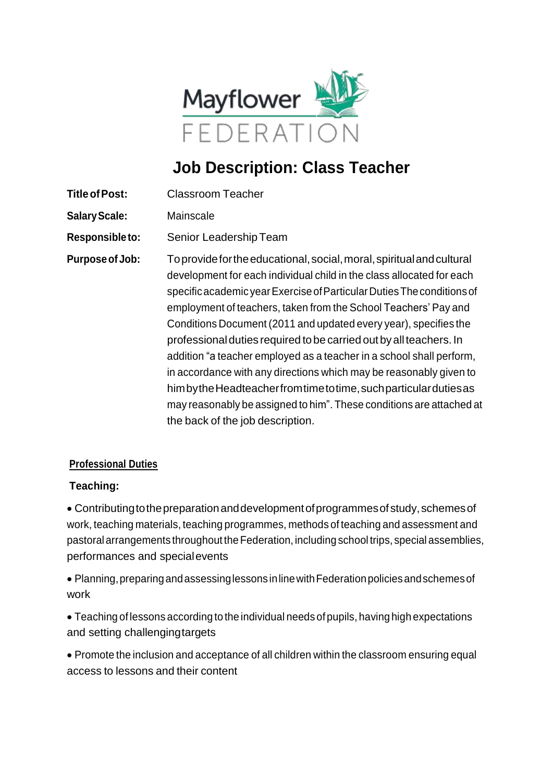

# **Job Description: Class Teacher**

- **TitleofPost:** Classroom Teacher
- **SalaryScale:** Mainscale
- **Responsible to:** Senior LeadershipTeam

**Purposeof Job:** Toprovidefortheeducational,social,moral,spiritualandcultural development for each individual child in the class allocated for each specific academic year Exercise of Particular Duties The conditions of employment of teachers, taken from the School Teachers' Pay and Conditions Document (2011 and updated every year), specifies the professionalduties required tobe carried out byallteachers. In addition "a teacher employed as a teacher in a school shall perform, in accordance with any directions which may be reasonably given to himbythe Headteacher from time to time, such particular duties as may reasonably be assigned to him". These conditions are attached at the back of the job description.

#### **Professional Duties**

#### **Teaching:**

• Contributingtothepreparationanddevelopmentofprogrammesofstudy,schemesof work, teaching materials, teaching programmes, methods of teaching and assessment and pastoralarrangements throughout theFederation, including school trips, special assemblies, performances and specialevents

• Planning,preparingandassessinglessonsinlinewithFederationpoliciesandschemesof work

• Teaching of lessons according to the individual needs of pupils, having high expectations and setting challengingtargets

• Promote the inclusion and acceptance of all children within the classroom ensuring equal access to lessons and their content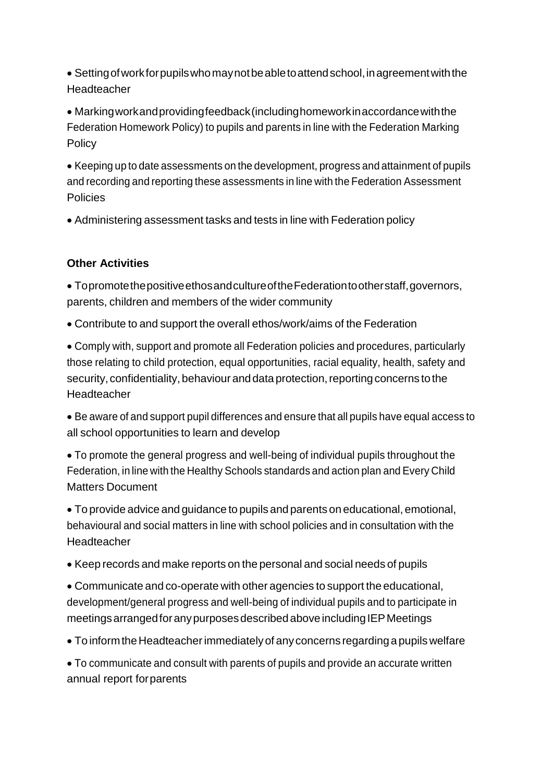• Settingofworkforpupilswhomaynotbeabletoattendschool,inagreementwiththe Headteacher

• Markingworkandprovidingfeedback(includinghomeworkinaccordancewiththe Federation Homework Policy) to pupils and parents in line with the Federation Marking **Policy** 

• Keeping up to date assessments on the development, progress and attainment of pupils and recording and reporting these assessments in line with the Federation Assessment **Policies** 

• Administering assessment tasks and tests in line with Federation policy

## **Other Activities**

• TopromotethepositiveethosandcultureoftheFederationtootherstaff,governors, parents, children and members of the wider community

• Contribute to and support the overall ethos/work/aims of the Federation

• Comply with, support and promote all Federation policies and procedures, particularly those relating to child protection, equal opportunities, racial equality, health, safety and security, confidentiality, behaviour and data protection, reporting concerns to the **Headteacher** 

• Be aware of and support pupil differences and ensure that all pupils have equal access to all school opportunities to learn and develop

• To promote the general progress and well-being of individual pupils throughout the Federation, in line with the Healthy Schools standards and action plan and Every Child Matters Document

• To provide advice and guidance to pupils and parents on educational,emotional, behavioural and social matters in line with school policies and in consultation with the **Headteacher** 

• Keep records and make reports on the personal and social needs of pupils

• Communicate and co-operate with other agencies to support the educational, development/general progress and well-being of individual pupils and to participate in meetings arranged for any purposes described above including IEP Meetings

• To inform the Headteacher immediately of any concerns regarding a pupils welfare

• To communicate and consult with parents of pupils and provide an accurate written annual report forparents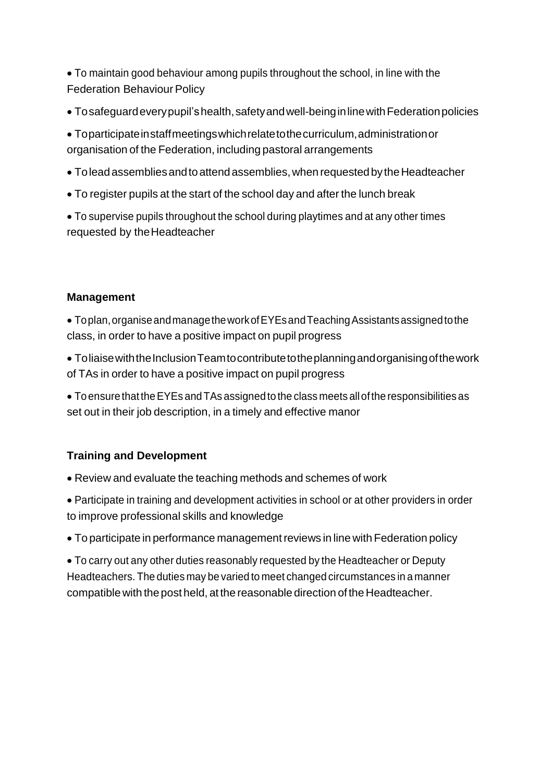• To maintain good behaviour among pupils throughout the school, in line with the **Federation Behaviour Policy** 

• Tosafeguardeverypupil'shealth,safetyandwell-beinginlinewithFederationpolicies

• Toparticipateinstaffmeetingswhichrelatetothecurriculum,administrationor organisation of the Federation, including pastoral arrangements

- Toleadassembliesandtoattendassemblies,whenrequestedbytheHeadteacher
- To register pupils at the start of the school day and after the lunch break

• To supervise pupils throughout the school during playtimes and at any other times requested by theHeadteacher

#### **Management**

• Toplan,organiseandmanagetheworkofEYEsandTeachingAssistantsassignedtothe class, in order to have a positive impact on pupil progress

• Toliaise with the Inclusion Team to contribute to the planning and organising of the work of TAs in order to have a positive impact on pupil progress

• ToensurethattheEYEs andTAs assignedto the class meets allofthe responsibilities as set out in their job description, in a timely and effective manor

### **Training and Development**

- Review and evaluate the teaching methods and schemes of work
- Participate in training and development activities in school or at other providers in order to improve professional skills and knowledge
- To participate in performance management reviews in line with Federation policy

• To carry out any other duties reasonably requested by the Headteacher or Deputy Headteachers. The duties may be varied to meet changed circumstances in a manner compatible with thepost held, at the reasonabledirection of the Headteacher.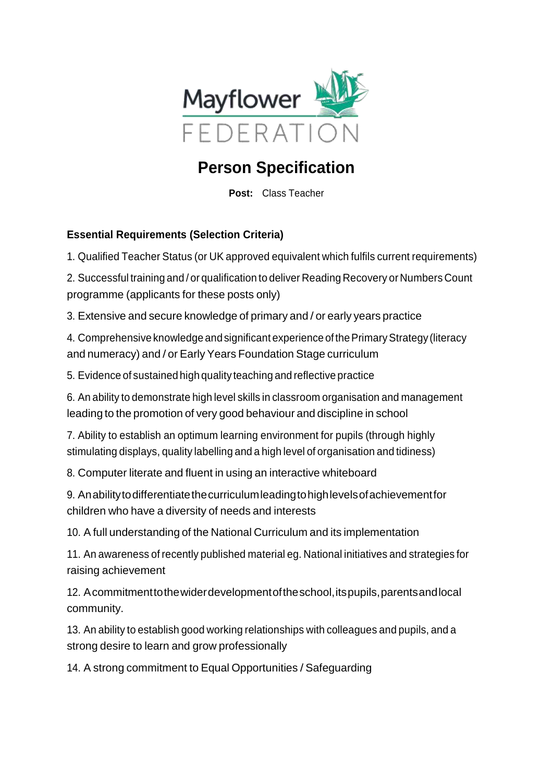

## **Person Specification**

**Post:** Class Teacher

## **Essential Requirements (Selection Criteria)**

1. Qualified Teacher Status (or UK approved equivalent which fulfils current requirements)

2. Successful training and / or qualification to deliver Reading Recovery or Numbers Count programme (applicants for these posts only)

3. Extensive and secure knowledge of primary and / or early years practice

4. Comprehensive knowledge andsignificant experience ofthePrimaryStrategy (literacy and numeracy) and / or Early Years Foundation Stage curriculum

5. Evidence of sustained high quality teaching and reflective practice

6. An ability to demonstrate high level skills in classroom organisation and management leading to the promotion of very good behaviour and discipline in school

7. Ability to establish an optimum learning environment for pupils (through highly stimulating displays, quality labelling and a high level of organisation and tidiness)

8. Computer literate and fluent in using an interactive whiteboard

9. Anabilitytodifferentiatethecurriculumleadingtohighlevelsofachievementfor children who have a diversity of needs and interests

10. A full understanding of the National Curriculum and its implementation

11. An awareness of recently published material eg. National initiatives and strategies for raising achievement

12. Acommitment to the wider development of the school, its pupils, parents and local community.

13. An ability to establish good working relationships with colleagues and pupils, and a strong desire to learn and grow professionally

14. A strong commitment to Equal Opportunities / Safeguarding